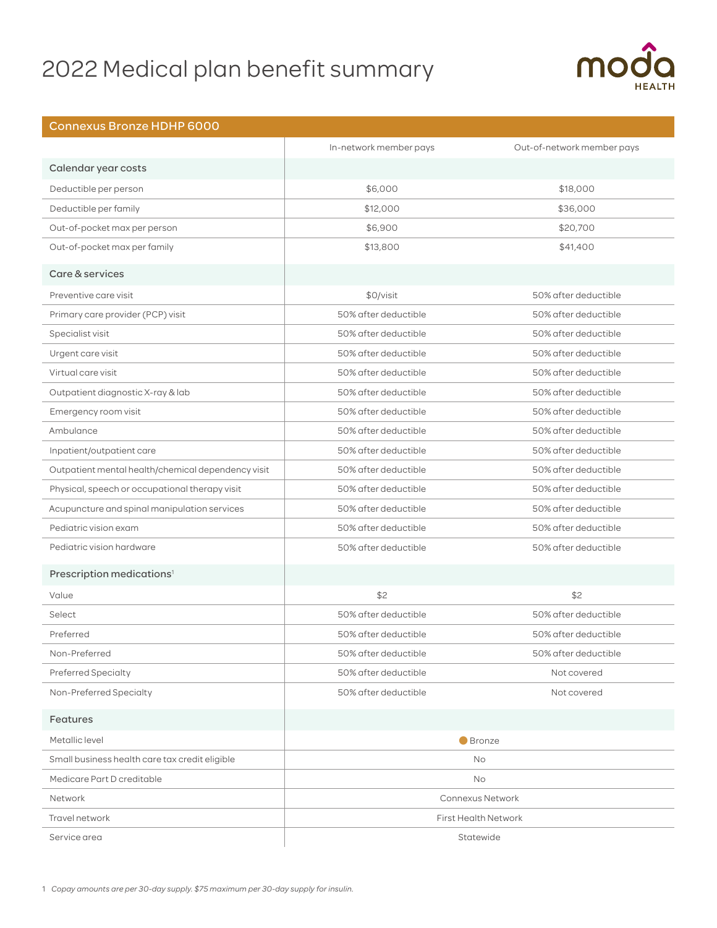# 2022 Medical plan benefit summary



### Connexus Bronze HDHP 6000

|                                                    | In-network member pays      | Out-of-network member pays |
|----------------------------------------------------|-----------------------------|----------------------------|
| Calendar year costs                                |                             |                            |
| Deductible per person                              | \$6,000                     | \$18,000                   |
| Deductible per family                              | \$12,000                    | \$36,000                   |
| Out-of-pocket max per person                       | \$6,900                     | \$20,700                   |
| Out-of-pocket max per family                       | \$13,800                    | \$41,400                   |
| Care & services                                    |                             |                            |
| Preventive care visit                              | \$0/visit                   | 50% after deductible       |
| Primary care provider (PCP) visit                  | 50% after deductible        | 50% after deductible       |
| Specialist visit                                   | 50% after deductible        | 50% after deductible       |
| Urgent care visit                                  | 50% after deductible        | 50% after deductible       |
| Virtual care visit                                 | 50% after deductible        | 50% after deductible       |
| Outpatient diagnostic X-ray & lab                  | 50% after deductible        | 50% after deductible       |
| Emergency room visit                               | 50% after deductible        | 50% after deductible       |
| Ambulance                                          | 50% after deductible        | 50% after deductible       |
| Inpatient/outpatient care                          | 50% after deductible        | 50% after deductible       |
| Outpatient mental health/chemical dependency visit | 50% after deductible        | 50% after deductible       |
| Physical, speech or occupational therapy visit     | 50% after deductible        | 50% after deductible       |
| Acupuncture and spinal manipulation services       | 50% after deductible        | 50% after deductible       |
| Pediatric vision exam                              | 50% after deductible        | 50% after deductible       |
| Pediatric vision hardware                          | 50% after deductible        | 50% after deductible       |
| Prescription medications <sup>1</sup>              |                             |                            |
| Value                                              | \$2                         | \$2                        |
| Select                                             | 50% after deductible        | 50% after deductible       |
| Preferred                                          | 50% after deductible        | 50% after deductible       |
| Non-Preferred                                      | 50% after deductible        | 50% after deductible       |
| Preferred Specialty                                | 50% after deductible        | Not covered                |
| Non-Preferred Specialty                            | 50% after deductible        | Not covered                |
| Features                                           |                             |                            |
| Metallic level                                     | <b>Bronze</b>               |                            |
| Small business health care tax credit eligible     | No                          |                            |
| Medicare Part D creditable                         | <b>No</b>                   |                            |
| Network                                            | <b>Connexus Network</b>     |                            |
| Travel network                                     | <b>First Health Network</b> |                            |
| Service area                                       | Statewide                   |                            |